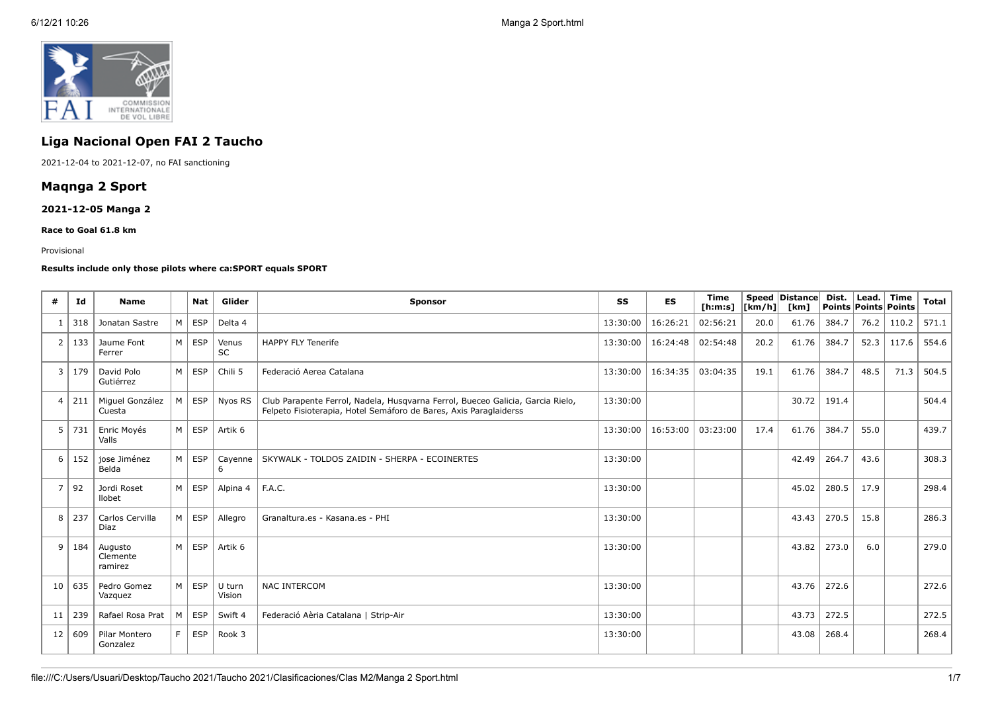

# **Liga Nacional Open FAI 2 Taucho**

2021-12-04 to 2021-12-07, no FAI sanctioning

## **Maqnga 2 Sport**

## **2021-12-05 Manga 2**

#### **Race to Goal 61.8 km**

#### Provisional

### **Results include only those pilots where ca:SPORT equals SPORT**

| #              | Id  | <b>Name</b>                    |   | <b>Nat</b> | Glider             | <b>Sponsor</b>                                                                                                                                      | SS       | <b>ES</b> | <b>Time</b><br>[h:m:s] $ [km/h] $ |      | Speed Distance<br>[km] | Dist. | Lead. | Time<br>Points Points Points | <b>Total</b> |
|----------------|-----|--------------------------------|---|------------|--------------------|-----------------------------------------------------------------------------------------------------------------------------------------------------|----------|-----------|-----------------------------------|------|------------------------|-------|-------|------------------------------|--------------|
|                | 318 | Jonatan Sastre                 | M | <b>ESP</b> | Delta 4            |                                                                                                                                                     | 13:30:00 | 16:26:21  | 02:56:21                          | 20.0 | 61.76                  | 384.7 | 76.2  | 110.2                        | 571.1        |
| 2              | 133 | Jaume Font<br>Ferrer           | M | <b>ESP</b> | Venus<br><b>SC</b> | <b>HAPPY FLY Tenerife</b>                                                                                                                           | 13:30:00 | 16:24:48  | 02:54:48                          | 20.2 | 61.76                  | 384.7 | 52.3  | 117.6                        | 554.6        |
| 3              | 179 | David Polo<br>Gutiérrez        | M | <b>ESP</b> | Chili 5            | Federació Aerea Catalana                                                                                                                            | 13:30:00 | 16:34:35  | 03:04:35                          | 19.1 | 61.76                  | 384.7 | 48.5  | 71.3                         | 504.5        |
| $\overline{4}$ | 211 | Miquel González<br>Cuesta      | M | <b>ESP</b> | Nyos RS            | Club Parapente Ferrol, Nadela, Husqvarna Ferrol, Bueceo Galicia, Garcia Rielo,<br>Felpeto Fisioterapia, Hotel Semáforo de Bares, Axis Paraglaiderss | 13:30:00 |           |                                   |      | 30.72                  | 191.4 |       |                              | 504.4        |
| 5              | 731 | Enric Moyés<br>Valls           | M | <b>ESP</b> | Artik 6            |                                                                                                                                                     | 13:30:00 | 16:53:00  | 03:23:00                          | 17.4 | 61.76                  | 384.7 | 55.0  |                              | 439.7        |
| 6              | 152 | jose Jiménez<br>Belda          | M | ESP        | Cayenne<br>6       | SKYWALK - TOLDOS ZAIDIN - SHERPA - ECOINERTES                                                                                                       | 13:30:00 |           |                                   |      | 42.49                  | 264.7 | 43.6  |                              | 308.3        |
| 7              | 92  | Jordi Roset<br>llobet          | M | ESP        | Alpina 4           | F.A.C.                                                                                                                                              | 13:30:00 |           |                                   |      | 45.02                  | 280.5 | 17.9  |                              | 298.4        |
| 8              | 237 | Carlos Cervilla<br>Diaz        | M | <b>ESP</b> | Allegro            | Granaltura.es - Kasana.es - PHI                                                                                                                     | 13:30:00 |           |                                   |      | 43.43                  | 270.5 | 15.8  |                              | 286.3        |
| 9              | 184 | Augusto<br>Clemente<br>ramirez | M | <b>ESP</b> | Artik 6            |                                                                                                                                                     | 13:30:00 |           |                                   |      | 43.82                  | 273.0 | 6.0   |                              | 279.0        |
| 10             | 635 | Pedro Gomez<br>Vazquez         | M | <b>ESP</b> | U turn<br>Vision   | <b>NAC INTERCOM</b>                                                                                                                                 | 13:30:00 |           |                                   |      | 43.76                  | 272.6 |       |                              | 272.6        |
| 11             | 239 | Rafael Rosa Prat               | M | <b>ESP</b> | Swift 4            | Federació Aèria Catalana   Strip-Air                                                                                                                | 13:30:00 |           |                                   |      | 43.73                  | 272.5 |       |                              | 272.5        |
| 12             | 609 | Pilar Montero<br>Gonzalez      | F | <b>ESP</b> | Rook 3             |                                                                                                                                                     | 13:30:00 |           |                                   |      | 43.08                  | 268.4 |       |                              | 268.4        |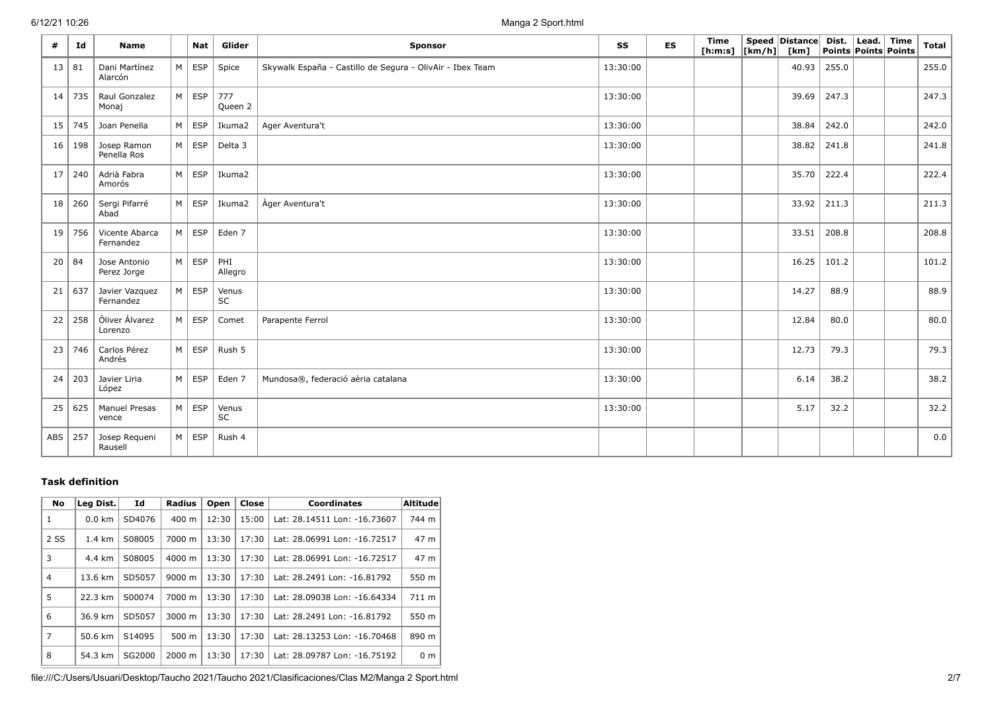6/12/21 10:26 Manga 2 Sport.html

| #   | Id  | <b>Name</b>                   |   | Nat                 | Glider         | Sponsor                                                   | SS       | <b>ES</b> | Time<br>[ <b>h</b> : <b>m</b> : <b>s</b> ] | $\lfloor km/h \rfloor$ [km] | Speed   Distance | Dist.<br>Points Points Points | $\vert$ Lead. $\vert$ | <b>Time</b> | Total |
|-----|-----|-------------------------------|---|---------------------|----------------|-----------------------------------------------------------|----------|-----------|--------------------------------------------|-----------------------------|------------------|-------------------------------|-----------------------|-------------|-------|
| 13  | 81  | Dani Martínez<br>Alarcón      | M | <b>ESP</b>          | Spice          | Skywalk España - Castillo de Segura - OlivAir - Ibex Team | 13:30:00 |           |                                            |                             | 40.93            | 255.0                         |                       |             | 255.0 |
| 14  | 735 | Raul Gonzalez<br>Monaj        |   | $M \vert$ ESP       | 777<br>Queen 2 |                                                           | 13:30:00 |           |                                            |                             | 39.69            | 247.3                         |                       |             | 247.3 |
| 15  | 745 | Joan Penella                  |   | $M \vert ESP$       | Ikuma2         | Ager Aventura't                                           | 13:30:00 |           |                                            |                             | 38.84            | 242.0                         |                       |             | 242.0 |
| 16  | 198 | Josep Ramon<br>Penella Ros    |   | $M \vert ESP$       | Delta 3        |                                                           | 13:30:00 |           |                                            |                             | 38.82            | 241.8                         |                       |             | 241.8 |
| 17  | 240 | Adrià Fabra<br>Amorós         |   | $M \vert ESP$       | Ikuma2         |                                                           | 13:30:00 |           |                                            |                             | 35.70            | 222.4                         |                       |             | 222.4 |
| 18  | 260 | Sergi Pifarré<br>Abad         |   | $M \vert$ ESP       | Ikuma2         | Àger Aventura't                                           | 13:30:00 |           |                                            |                             | 33.92            | 211.3                         |                       |             | 211.3 |
| 19  | 756 | Vicente Abarca<br>Fernandez   |   | $M \vert ESP \vert$ | Eden 7         |                                                           | 13:30:00 |           |                                            |                             | 33.51            | 208.8                         |                       |             | 208.8 |
| 20  | 84  | Jose Antonio<br>Perez Jorge   |   | $M \vert$ ESP       | PHI<br>Allegro |                                                           | 13:30:00 |           |                                            |                             | 16.25            | 101.2                         |                       |             | 101.2 |
| 21  | 637 | Javier Vazquez<br>Fernandez   |   | $M \vert ESP$       | Venus<br>SC    |                                                           | 13:30:00 |           |                                            |                             | 14.27            | 88.9                          |                       |             | 88.9  |
| 22  | 258 | Óliver Álvarez<br>Lorenzo     | M | <b>ESP</b>          | Comet          | Parapente Ferrol                                          | 13:30:00 |           |                                            |                             | 12.84            | 80.0                          |                       |             | 80.0  |
| 23  | 746 | Carlos Pérez<br>Andrés        |   | $M \vert$ ESP       | Rush 5         |                                                           | 13:30:00 |           |                                            |                             | 12.73            | 79.3                          |                       |             | 79.3  |
| 24  | 203 | Javier Liria<br>López         |   | $M \vert$ ESP       | Eden 7         | Mundosa®, federació aèria catalana                        | 13:30:00 |           |                                            |                             | 6.14             | 38.2                          |                       |             | 38.2  |
| 25  | 625 | <b>Manuel Presas</b><br>vence |   | $M \vert$ ESP       | Venus<br>SC    |                                                           | 13:30:00 |           |                                            |                             | 5.17             | 32.2                          |                       |             | 32.2  |
| ABS | 257 | Josep Requeni<br>Rausell      |   | $M \vert ESP$       | Rush 4         |                                                           |          |           |                                            |                             |                  |                               |                       |             | 0.0   |

## **Task definition**

| <b>No</b>      | Leg Dist.        | Id     | <b>Radius</b>      | Open  | Close | <b>Coordinates</b>           | <b>Altitude</b> |
|----------------|------------------|--------|--------------------|-------|-------|------------------------------|-----------------|
| 1              | $0.0$ km         | SD4076 | 400 m              | 12:30 | 15:00 | Lat: 28.14511 Lon: -16.73607 | 744 m           |
| 2 SS           | $1.4 \text{ km}$ | S08005 | 7000 m             | 13:30 | 17:30 | Lat: 28.06991 Lon: -16.72517 | 47 m            |
| 3              | 4.4 km           | S08005 | $4000 \; \text{m}$ | 13:30 | 17:30 | Lat: 28.06991 Lon: -16.72517 | 47 m            |
| 4              | 13.6 km          | SD5057 | 9000 m             | 13:30 | 17:30 | Lat: 28.2491 Lon: -16.81792  | 550 m           |
| 5              | 22.3 km          | S00074 | 7000 m             | 13:30 | 17:30 | Lat: 28.09038 Lon: -16.64334 | 711 m           |
| 6              | 36.9 km          | SD5057 | 3000 m             | 13:30 | 17:30 | Lat: 28.2491 Lon: -16.81792  | 550 m           |
| $\overline{7}$ | 50.6 km          | S14095 | $500 \text{ m}$    | 13:30 | 17:30 | Lat: 28.13253 Lon: -16.70468 | 890 m           |
| 8              | 54.3 km          | SG2000 | 2000 m             | 13:30 | 17:30 | Lat: 28.09787 Lon: -16.75192 | 0 <sub>m</sub>  |

file:///C:/Users/Usuari/Desktop/Taucho 2021/Taucho 2021/Clasificaciones/Clas M2/Manga 2 Sport.html 2/7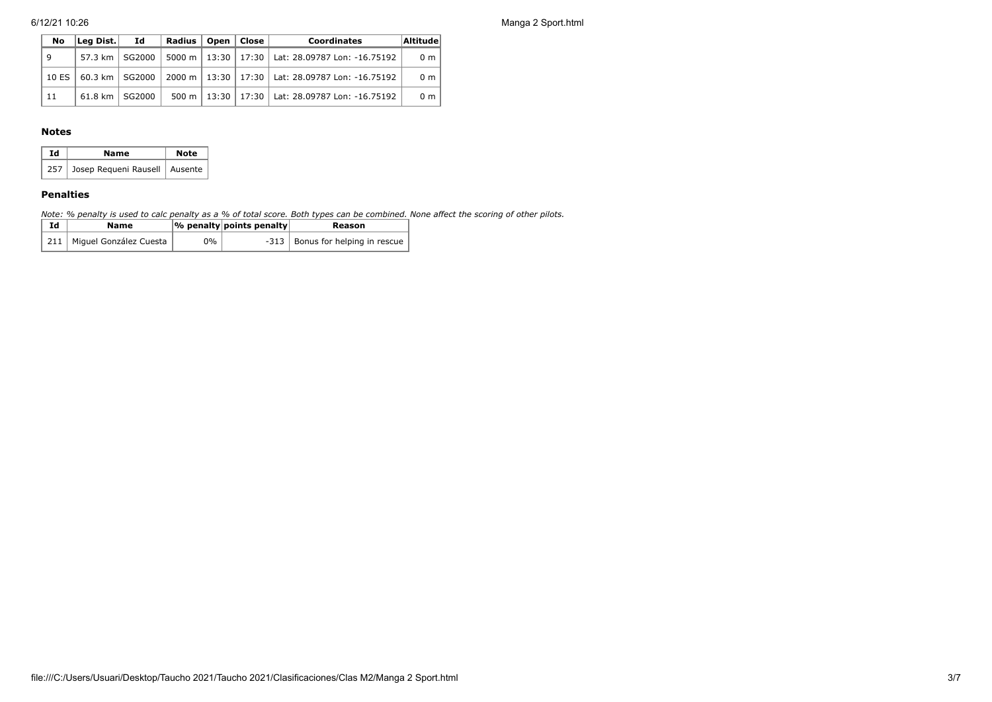6/12/21 10:26 Manga 2 Sport.html

| No    | Leg Dist.        | Id               | Radius   Open   Close |  | <b>Coordinates</b>                                                       | <b>Altitude</b> |
|-------|------------------|------------------|-----------------------|--|--------------------------------------------------------------------------|-----------------|
| 9     |                  | 57.3 km   SG2000 |                       |  | 5000 m   13:30   17:30   Lat: 28.09787 Lon: -16.75192                    | 0 <sub>m</sub>  |
| 10 ES |                  |                  |                       |  | 60.3 km   SG2000   2000 m   13:30   17:30   Lat: 28.09787 Lon: -16.75192 | 0 <sub>m</sub>  |
| 11    | 61.8 km   SG2000 |                  |                       |  | 500 m   13:30   17:30   Lat: 28.09787 Lon: -16.75192                     | 0 <sub>m</sub>  |

### **Notes**

| Ιd | Name                                | <b>Note</b> |
|----|-------------------------------------|-------------|
|    | 257 Josep Requeni Rausell   Ausente |             |

## **Penalties**

*Note: % penalty is used to calc penalty as a % of total score. Both types can be combined. None affect the scoring of other pilots.*

| Id | Name                         |    | $ \%$ penalty points penalty | Reason                             |
|----|------------------------------|----|------------------------------|------------------------------------|
|    | 211   Miguel González Cuesta | 0% |                              | -313   Bonus for helping in rescue |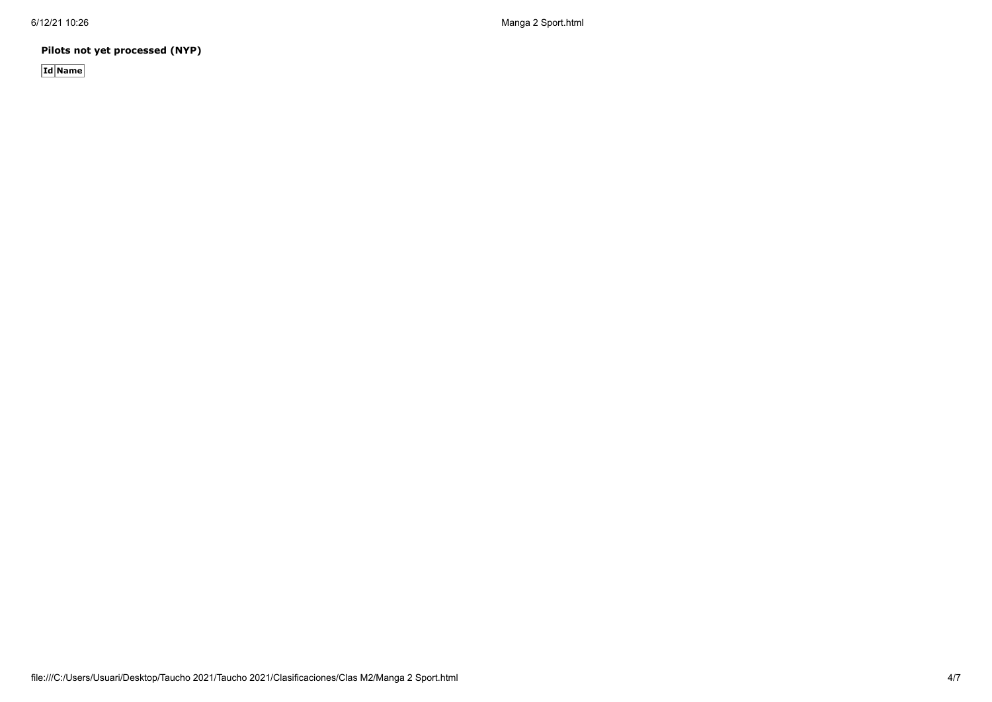6/12/21 10:26 Manga 2 Sport.html

**Pilots not yet processed (NYP)**

**Id Name**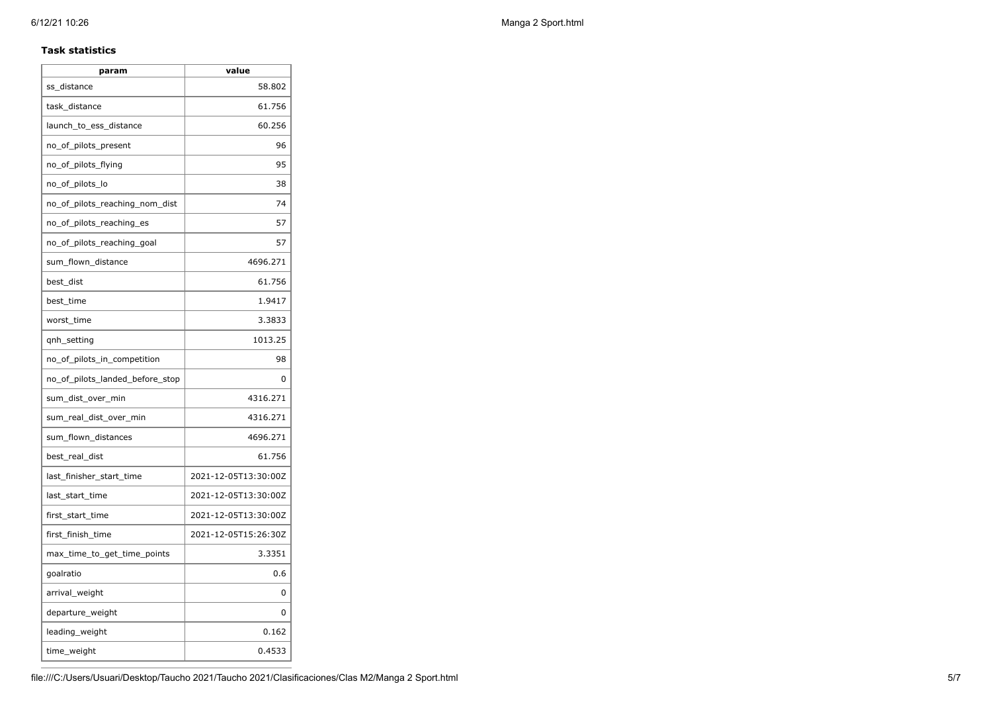### **Task statistics**

| param                           | value                |
|---------------------------------|----------------------|
| ss distance                     | 58.802               |
| task distance                   | 61.756               |
| launch_to_ess_distance          | 60.256               |
| no_of_pilots_present            | 96                   |
| no_of_pilots_flying             | 95                   |
| no_of_pilots_lo                 | 38                   |
| no_of_pilots_reaching_nom_dist  | 74                   |
| no_of_pilots_reaching_es        | 57                   |
| no_of_pilots_reaching_goal      | 57                   |
| sum_flown_distance              | 4696.271             |
| best dist                       | 61.756               |
| best time                       | 1.9417               |
| worst_time                      | 3.3833               |
| qnh_setting                     | 1013.25              |
| no_of_pilots_in_competition     | 98                   |
| no of pilots landed before stop | 0                    |
| sum_dist_over_min               | 4316.271             |
| sum_real_dist_over_min          | 4316.271             |
| sum_flown_distances             | 4696.271             |
| best_real_dist                  | 61.756               |
| last_finisher_start_time        | 2021-12-05T13:30:00Z |
| last_start_time                 | 2021-12-05T13:30:00Z |
| first_start_time                | 2021-12-05T13:30:00Z |
| first_finish_time               | 2021-12-05T15:26:30Z |
| max_time_to_get_time_points     | 3.3351               |
| goalratio                       | 0.6                  |
| arrival_weight                  | 0                    |
| departure_weight                | 0                    |
| leading_weight                  | 0.162                |
| time_weight                     | 0.4533               |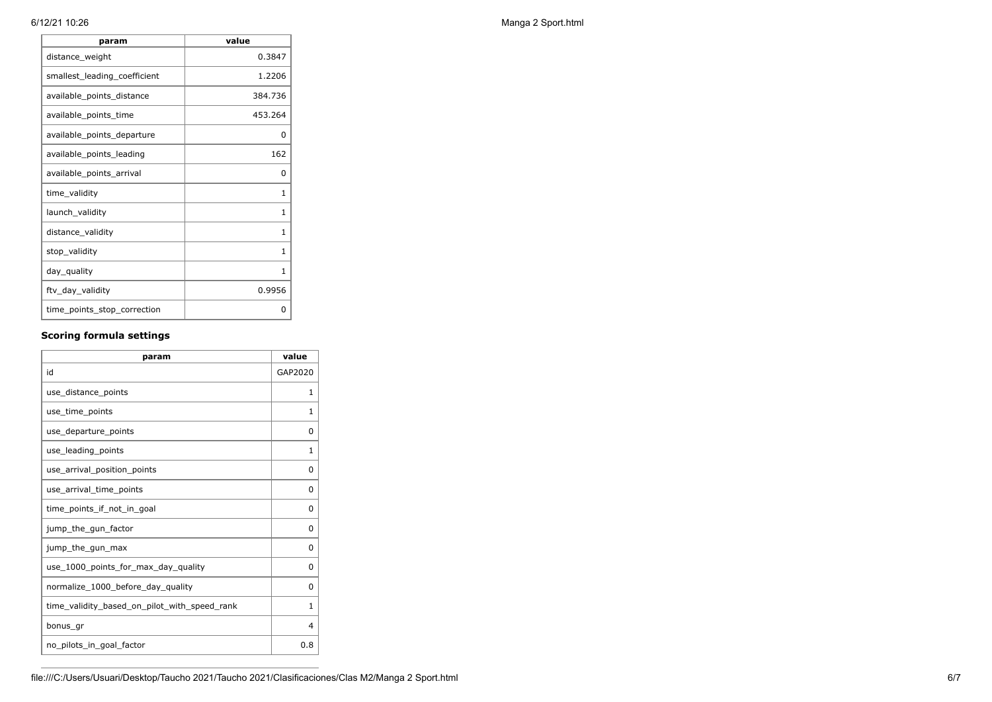| value    |
|----------|
| 0.3847   |
| 1.2206   |
| 384.736  |
| 453.264  |
| 0        |
| 162      |
| $\Omega$ |
| 1        |
| 1        |
| 1        |
| 1        |
| 1        |
| 0.9956   |
| 0        |
|          |

## **Scoring formula settings**

| param                                        | value    |
|----------------------------------------------|----------|
| id                                           | GAP2020  |
| use_distance_points                          | 1        |
| use time points                              | 1        |
| use_departure_points                         | 0        |
| use_leading_points                           | 1        |
| use arrival position points                  | 0        |
| use_arrival_time_points                      | 0        |
| time points if not in goal                   | 0        |
| jump_the_gun_factor                          | $\Omega$ |
| jump_the_gun_max                             | 0        |
| use_1000_points_for_max_day_quality          | $\Omega$ |
| normalize_1000_before_day_quality            | 0        |
| time_validity_based_on_pilot_with_speed_rank | 1        |
| bonus gr                                     | 4        |
| no_pilots_in_goal_factor                     | 0.8      |